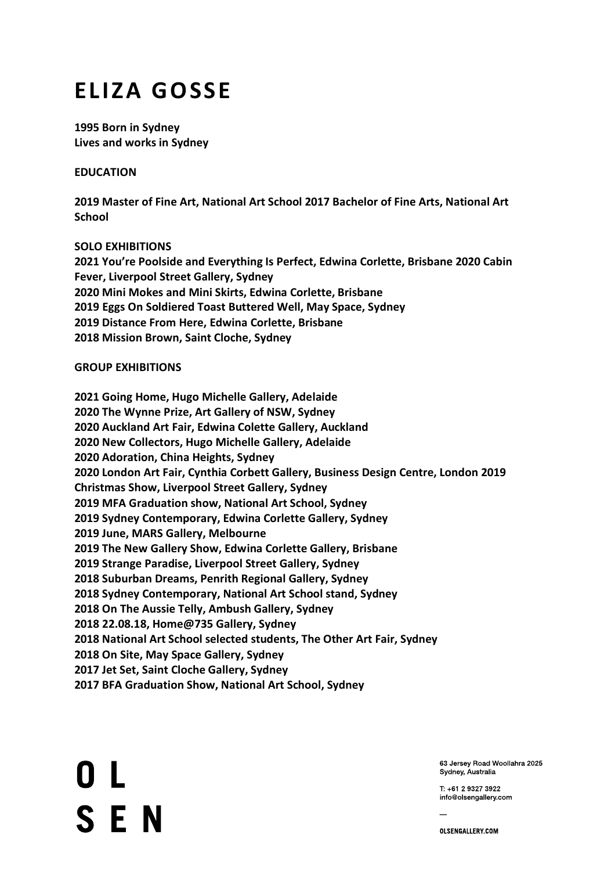## **ELIZA GOSSE**

**1995 Born in Sydney Lives and works in Sydney** 

**EDUCATION** 

**2019 Master of Fine Art, National Art School 2017 Bachelor of Fine Arts, National Art School** 

**SOLO EXHIBITIONS 2021 You're Poolside and Everything Is Perfect, Edwina Corlette, Brisbane 2020 Cabin Fever, Liverpool Street Gallery, Sydney 2020 Mini Mokes and Mini Skirts, Edwina Corlette, Brisbane 2019 Eggs On Soldiered Toast Buttered Well, May Space, Sydney 2019 Distance From Here, Edwina Corlette, Brisbane 2018 Mission Brown, Saint Cloche, Sydney** 

## **GROUP EXHIBITIONS**

**2021 Going Home, Hugo Michelle Gallery, Adelaide 2020 The Wynne Prize, Art Gallery of NSW, Sydney 2020 Auckland Art Fair, Edwina Colette Gallery, Auckland 2020 New Collectors, Hugo Michelle Gallery, Adelaide 2020 Adoration, China Heights, Sydney 2020 London Art Fair, Cynthia Corbett Gallery, Business Design Centre, London 2019 Christmas Show, Liverpool Street Gallery, Sydney 2019 MFA Graduation show, National Art School, Sydney 2019 Sydney Contemporary, Edwina Corlette Gallery, Sydney 2019 June, MARS Gallery, Melbourne 2019 The New Gallery Show, Edwina Corlette Gallery, Brisbane 2019 Strange Paradise, Liverpool Street Gallery, Sydney 2018 Suburban Dreams, Penrith Regional Gallery, Sydney 2018 Sydney Contemporary, National Art School stand, Sydney 2018 On The Aussie Telly, Ambush Gallery, Sydney 2018 22.08.18, Home@735 Gallery, Sydney 2018 National Art School selected students, The Other Art Fair, Sydney 2018 On Site, May Space Gallery, Sydney 2017 Jet Set, Saint Cloche Gallery, Sydney 2017 BFA Graduation Show, National Art School, Sydney** 

0 L **SEN** 

63 Jersey Road Woollahra 2025 Sydney, Australia

T: +61 2 9327 3922 info@olsengallery.com

OLSENGALLERY.COM